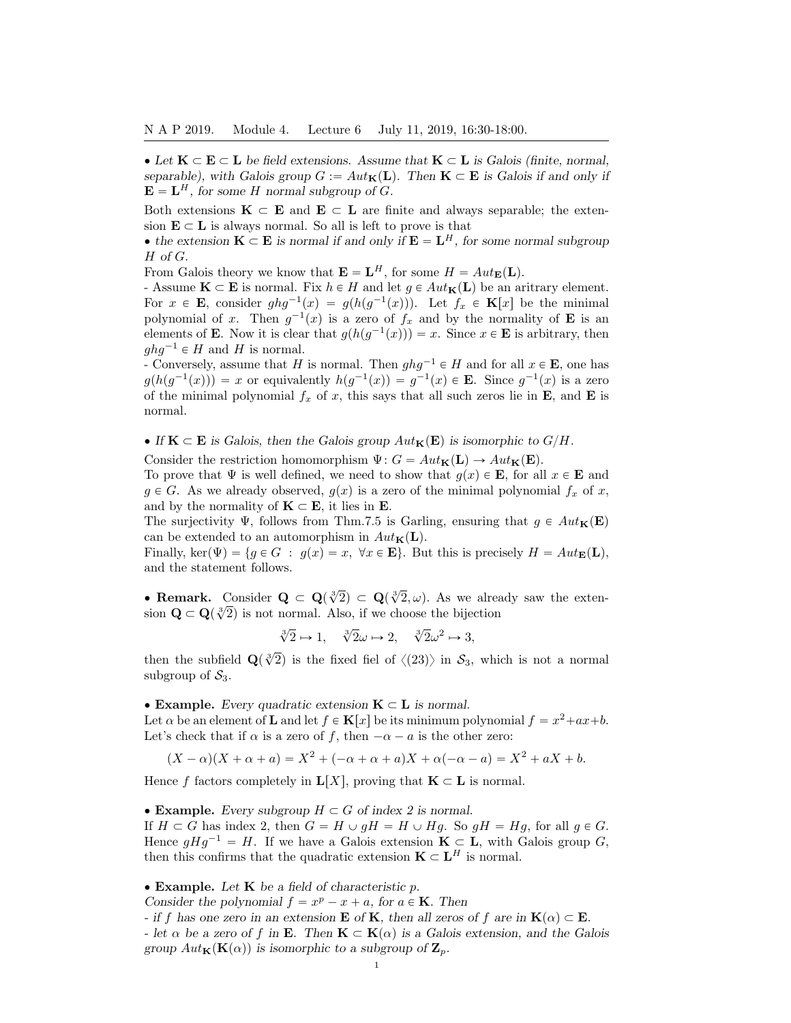• Let  $K \subset E \subset L$  be field extensions. Assume that  $K \subset L$  is Galois (finite, normal, separable), with Galois group  $G := Aut_{\mathbf{K}}(\mathbf{L})$ . Then  $\mathbf{K} \subset \mathbf{E}$  is Galois if and only if **, for some H normal subgroup of G.** 

Both extensions  $\mathbf{K} \subset \mathbf{E}$  and  $\mathbf{E} \subset \mathbf{L}$  are finite and always separable; the extension  $\mathbf{E} \subset \mathbf{L}$  is always normal. So all is left to prove is that

• the extension  $K \subset E$  is normal if and only if  $E = L^H$ , for some normal subgroup H of G.

From Galois theory we know that  $\mathbf{E} = \mathbf{L}^H$ , for some  $H = Aut_{\mathbf{E}}(\mathbf{L})$ .

- Assume  $\mathbf{K} \subset \mathbf{E}$  is normal. Fix  $h \in H$  and let  $g \in Aut_{\mathbf{K}}(\mathbf{L})$  be an aritrary element. For  $x \in \mathbf{E}$ , consider  $ghg^{-1}(x) = g(h(g^{-1}(x)))$ . Let  $f_x \in \mathbf{K}[x]$  be the minimal polynomial of x. Then  $g^{-1}(x)$  is a zero of  $f_x$  and by the normality of **E** is an elements of **E**. Now it is clear that  $g(h(g^{-1}(x))) = x$ . Since  $x \in \mathbf{E}$  is arbitrary, then  $ghq^{-1} \in H$  and H is normal.

- Conversely, assume that H is normal. Then  $ghg^{-1} \in H$  and for all  $x \in \mathbf{E}$ , one has  $g(h(g^{-1}(x))) = x$  or equivalently  $h(g^{-1}(x)) = g^{-1}(x) \in \mathbf{E}$ . Since  $g^{-1}(x)$  is a zero of the minimal polynomial  $f_x$  of x, this says that all such zeros lie in **E**, and **E** is normal.

• If  $K \subset E$  is Galois, then the Galois group  $Aut_K(E)$  is isomorphic to  $G/H$ .

Consider the restriction homomorphism  $\Psi: G = Aut_{\mathbf{K}}(\mathbf{L}) \to Aut_{\mathbf{K}}(\mathbf{E}).$ 

To prove that  $\Psi$  is well defined, we need to show that  $g(x) \in \mathbf{E}$ , for all  $x \in \mathbf{E}$  and  $g \in G$ . As we already observed,  $g(x)$  is a zero of the minimal polynomial  $f_x$  of x, and by the normality of  $\mathbf{K} \subset \mathbf{E}$ , it lies in  $\mathbf{E}$ .

The surjectivity  $\Psi$ , follows from Thm.7.5 is Garling, ensuring that  $g \in Aut_{\mathbf{K}}(\mathbf{E})$ can be extended to an automorphism in  $Aut_{\mathbf{K}}(\mathbf{L})$ .

Finally, ker $(\Psi) = \{g \in G : g(x) = x, \forall x \in E\}$ . But this is precisely  $H = Aut_{E}(L)$ , and the statement follows.

• Remark. Consider  $\mathbf{Q} \subset \mathbf{Q}(\sqrt[3]{2}) \subset \mathbf{Q}(\sqrt[3]{2}, \omega)$ . As we already saw the exten-**Example 12**  $\mathbf{Q} \subset \mathbf{Q}(\sqrt[n]{2}) \subset \mathbf{Q}(\sqrt[3]{2})$ . As we are<br>sion  $\mathbf{Q} \subset \mathbf{Q}(\sqrt[3]{2})$  is not normal. Also, if we choose the bijection

$$
\sqrt[3]{2} \mapsto 1, \quad \sqrt[3]{2}\omega \mapsto 2, \quad \sqrt[3]{2}\omega^2 \mapsto 3,
$$

then the subfield  $\mathbf{Q}(\sqrt[3]{2})$  is the fixed fiel of  $\langle (23)\rangle$  in  $\mathcal{S}_3$ , which is not a normal subgroup of  $S_3$ .

• Example. Every quadratic extension  $K \subset L$  is normal.

Let  $\alpha$  be an element of **L** and let  $f \in \mathbf{K}[x]$  be its minimum polynomial  $f = x^2 + ax + b$ . Let's check that if  $\alpha$  is a zero of f, then  $-\alpha - a$  is the other zero:

$$
(X - \alpha)(X + \alpha + a) = X^2 + (-\alpha + \alpha + a)X + \alpha(-\alpha - a) = X^2 + aX + b.
$$

Hence f factors completely in  $\mathbf{L}[X]$ , proving that  $\mathbf{K} \subset \mathbf{L}$  is normal.

• Example. Every subgroup  $H \subset G$  of index 2 is normal. If  $H \subset G$  has index 2, then  $G = H \cup gH = H \cup Hg$ . So  $gH = Hg$ , for all  $g \in G$ . Hence  $gHg^{-1} = H$ . If we have a Galois extension  $\mathbf{K} \subset \mathbf{L}$ , with Galois group G, then this confirms that the quadratic extension  $\mathbf{K} \subset \mathbf{L}^H$  is normal.

 $\bullet$  Example. Let K be a field of characteristic p.

Consider the polynomial  $f = x^p - x + a$ , for  $a \in \mathbf{K}$ . Then

- if f has one zero in an extension **E** of **K**, then all zeros of f are in  $\mathbf{K}(\alpha) \subset \mathbf{E}$ .

- let  $\alpha$  be a zero of f in **E**. Then  $\mathbf{K} \subset \mathbf{K}(\alpha)$  is a Galois extension, and the Galois group  $Aut_{\mathbf{K}}(\mathbf{K}(\alpha))$  is isomorphic to a subgroup of  $\mathbf{Z}_p$ .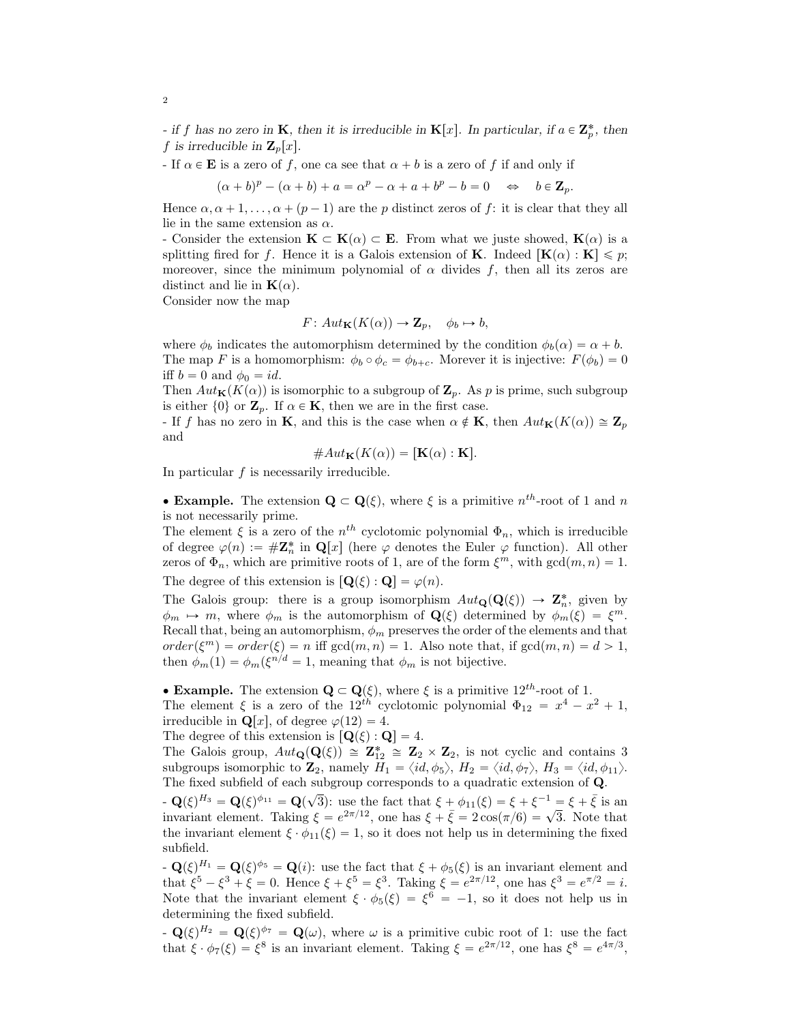- if f has no zero in **K**, then it is irreducible in **K**[x]. In particular, if  $a \in \mathbb{Z}_p^*$ , then f is irreducible in  $\mathbf{Z}_p[x]$ .

- If  $\alpha \in \mathbf{E}$  is a zero of f, one ca see that  $\alpha + b$  is a zero of f if and only if

 $(\alpha + b)^p - (\alpha + b) + a = \alpha^p - \alpha + a + b^p - b = 0 \implies b \in \mathbf{Z}_p.$ 

Hence  $\alpha, \alpha + 1, \ldots, \alpha + (p-1)$  are the p distinct zeros of f: it is clear that they all lie in the same extension as  $\alpha$ .

- Consider the extension  $\mathbf{K} \subset \mathbf{K}(\alpha) \subset \mathbf{E}$ . From what we juste showed,  $\mathbf{K}(\alpha)$  is a splitting fired for f. Hence it is a Galois extension of **K**. Indeed  $[\mathbf{K}(\alpha) : \mathbf{K}] \leq p$ ; moreover, since the minimum polynomial of  $\alpha$  divides f, then all its zeros are distinct and lie in  $\mathbf{K}(\alpha)$ .

Consider now the map

$$
F: Aut_{\mathbf{K}}(K(\alpha)) \to \mathbf{Z}_p, \quad \phi_b \mapsto b,
$$

where  $\phi_b$  indicates the automorphism determined by the condition  $\phi_b(\alpha) = \alpha + b$ . The map F is a homomorphism:  $\phi_b \circ \phi_c = \phi_{b+c}$ . Morever it is injective:  $F(\phi_b) = 0$ iff  $b = 0$  and  $\phi_0 = id$ .

Then  $Aut_{\mathbf{K}}(K(\alpha))$  is isomorphic to a subgroup of  $\mathbf{Z}_p$ . As p is prime, such subgroup is either  $\{0\}$  or  $\mathbf{Z}_p$ . If  $\alpha \in \mathbf{K}$ , then we are in the first case.

- If f has no zero in K, and this is the case when  $\alpha \notin K$ , then  $Aut_{\mathbf{K}}(K(\alpha)) \cong \mathbf{Z}_p$ and

$$
\#Aut_{\mathbf{K}}(K(\alpha)) = [\mathbf{K}(\alpha) : \mathbf{K}].
$$

In particular  $f$  is necessarily irreducible.

• Example. The extension  $\mathbf{Q} \subset \mathbf{Q}(\xi)$ , where  $\xi$  is a primitive  $n^{th}$ -root of 1 and n is not necessarily prime.

The element  $\xi$  is a zero of the  $n^{th}$  cyclotomic polynomial  $\Phi_n$ , which is irreducible of degree  $\varphi(n) := #\mathbf{Z}_n^*$  in  $\mathbf{Q}[x]$  (here  $\varphi$  denotes the Euler  $\varphi$  function). All other zeros of  $\Phi_n$ , which are primitive roots of 1, are of the form  $\xi^m$ , with  $gcd(m, n) = 1$ . The degree of this extension is  $[\mathbf{Q}(\xi) : \mathbf{Q}] = \varphi(n)$ .

The Galois group: there is a group isomorphism  $Aut_{\mathbf{Q}}(\mathbf{Q}(\xi)) \to \mathbf{Z}_n^*$ , given by  $\phi_m \mapsto m$ , where  $\phi_m$  is the automorphism of  $\mathbf{Q}(\xi)$  determined by  $\phi_m(\xi) = \xi^m$ . Recall that, being an automorphism,  $\phi_m$  preserves the order of the elements and that  $order(\xi^m) = order(\xi) = n$  iff  $gcd(m, n) = 1$ . Also note that, if  $gcd(m, n) = d > 1$ , then  $\phi_m(1) = \phi_m(\xi^{n/d} = 1$ , meaning that  $\phi_m$  is not bijective.

• Example. The extension  $\mathbf{Q} \subset \mathbf{Q}(\xi)$ , where  $\xi$  is a primitive 12<sup>th</sup>-root of 1. The element  $\xi$  is a zero of the 12<sup>th</sup> cyclotomic polynomial  $\Phi_{12} = x^4 - x^2 + 1$ , irreducible in  $\mathbf{Q}[x]$ , of degree  $\varphi(12) = 4$ .

The degree of this extension is  $[\mathbf{Q}(\xi) : \mathbf{Q}] = 4.$ 

The Galois group,  $Aut_{\mathbf{Q}}(\mathbf{Q}(\xi)) \cong \mathbf{Z}_{12}^* \cong \mathbf{Z}_2 \times \mathbf{Z}_2$ , is not cyclic and contains 3 subgroups isomorphic to  $\mathbf{Z}_2$ , namely  $H_1 = \langle id, \phi_5 \rangle$ ,  $H_2 = \langle id, \phi_7 \rangle$ ,  $H_3 = \langle id, \phi_{11} \rangle$ . The fixed subfield of each subgroup corresponds to a quadratic extension of Q.

 $-\mathbf{Q}(\xi)^{H_3} = \mathbf{Q}(\xi)^{\phi_{11}} = \mathbf{Q}(\sqrt{3})$ : use the fact that  $\xi + \phi_{11}(\xi) = \xi + \xi^{-1} = \xi + \bar{\xi}$  is an invariant element. Taking  $\xi = e^{2\pi/12}$ , one has  $\xi + \bar{\xi} = 2\cos(\pi/6) = \sqrt{3}$ . Note that the invariant element  $\xi \cdot \phi_{11}(\xi) = 1$ , so it does not help us in determining the fixed subfield.

 $-\mathbf{Q}(\xi)^{H_1} = \mathbf{Q}(\xi)^{\phi_5} = \mathbf{Q}(i)$ : use the fact that  $\xi + \phi_5(\xi)$  is an invariant element and that  $\xi^5 - \xi^3 + \xi = 0$ . Hence  $\xi + \xi^5 = \xi^3$ . Taking  $\xi = e^{2\pi/12}$ , one has  $\xi^3 = e^{\pi/2} = i$ . Note that the invariant element  $\xi \cdot \phi_5(\xi) = \xi^6 = -1$ , so it does not help us in determining the fixed subfield.

 $-\mathbf{Q}(\xi)^{H_2} = \mathbf{Q}(\xi)^{\phi_7} = \mathbf{Q}(\omega)$ , where  $\omega$  is a primitive cubic root of 1: use the fact that  $\xi \cdot \phi_7(\xi) = \xi^8$  is an invariant element. Taking  $\xi = e^{2\pi/12}$ , one has  $\xi^8 = e^{4\pi/3}$ ,